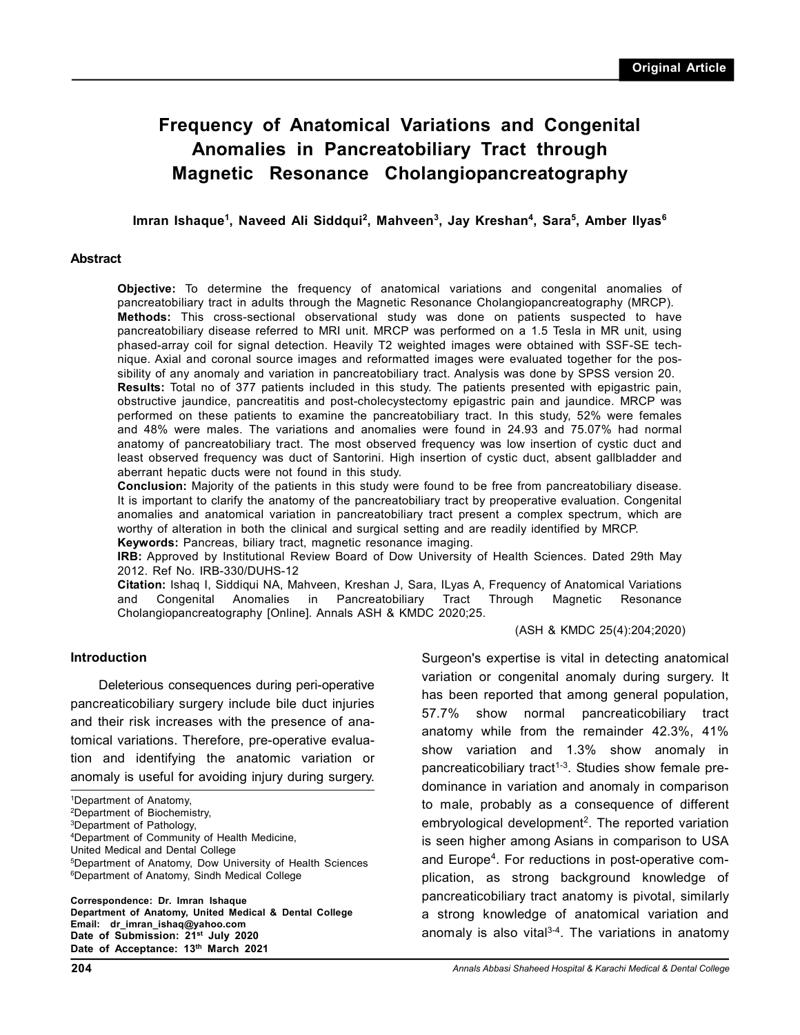# **Frequency of Anatomical Variations and Congenital Anomalies in Pancreatobiliary Tract through Magnetic Resonance Cholangiopancreatography**

**Imran Ishaque<sup>1</sup> , Naveed Ali Siddqui<sup>2</sup> , Mahveen<sup>3</sup> , Jay Kreshan<sup>4</sup> , Sara<sup>5</sup> , Amber Ilyas<sup>6</sup>**

#### **Abstract**

**Objective:** To determine the frequency of anatomical variations and congenital anomalies of pancreatobiliary tract in adults through the Magnetic Resonance Cholangiopancreatography (MRCP). **Methods:** This cross-sectional observational study was done on patients suspected to have pancreatobiliary disease referred to MRI unit. MRCP was performed on a 1.5 Tesla in MR unit, using phased-array coil for signal detection. Heavily T2 weighted images were obtained with SSF-SE technique. Axial and coronal source images and reformatted images were evaluated together for the possibility of any anomaly and variation in pancreatobiliary tract. Analysis was done by SPSS version 20. **Results:** Total no of 377 patients included in this study. The patients presented with epigastric pain, obstructive jaundice, pancreatitis and post-cholecystectomy epigastric pain and jaundice. MRCP was performed on these patients to examine the pancreatobiliary tract. In this study, 52% were females and 48% were males. The variations and anomalies were found in 24.93 and 75.07% had normal anatomy of pancreatobiliary tract. The most observed frequency was low insertion of cystic duct and least observed frequency was duct of Santorini. High insertion of cystic duct, absent gallbladder and aberrant hepatic ducts were not found in this study.

**Conclusion:** Majority of the patients in this study were found to be free from pancreatobiliary disease. It is important to clarify the anatomy of the pancreatobiliary tract by preoperative evaluation. Congenital anomalies and anatomical variation in pancreatobiliary tract present a complex spectrum, which are worthy of alteration in both the clinical and surgical setting and are readily identified by MRCP. **Keywords:** Pancreas, biliary tract, magnetic resonance imaging.

**IRB:** Approved by Institutional Review Board of Dow University of Health Sciences. Dated 29th May 2012. Ref No. IRB-330/DUHS-12

**Citation:** Ishaq I, Siddiqui NA, Mahveen, Kreshan J, Sara, ILyas A, Frequency of Anatomical Variations and Congenital Anomalies in Pancreatobiliary Tract Through Magnetic Resonance Cholangiopancreatography [Online]. Annals ASH & KMDC 2020;25.

(ASH & KMDC 25(4):204;2020)

## **Introduction**

Deleterious consequences during peri-operative pancreaticobiliary surgery include bile duct injuries and their risk increases with the presence of anatomical variations. Therefore, pre-operative evaluation and identifying the anatomic variation or anomaly is useful for avoiding injury during surgery.

<sup>2</sup>Department of Biochemistry,

<sup>4</sup>Department of Community of Health Medicine,

United Medical and Dental College

**Correspondence: Dr. Imran Ishaque Department of Anatomy, United Medical & Dental College Email: dr\_imran\_ishaq@yahoo.com Date of Submission: 21st July 2020 Date of Acceptance: 13th March 2021**

Surgeon's expertise is vital in detecting anatomical variation or congenital anomaly during surgery. It has been reported that among general population, 57.7% show normal pancreaticobiliary tract anatomy while from the remainder 42.3%, 41% show variation and 1.3% show anomaly in pancreaticobiliary tract<sup> $1-3$ </sup>. Studies show female predominance in variation and anomaly in comparison to male, probably as a consequence of different embryological development<sup>2</sup>. The reported variation is seen higher among Asians in comparison to USA and Europe<sup>4</sup>. For reductions in post-operative complication, as strong background knowledge of pancreaticobiliary tract anatomy is pivotal, similarly a strong knowledge of anatomical variation and anomaly is also vital $3-4$ . The variations in anatomy

<sup>1</sup>Department of Anatomy,

<sup>3</sup>Department of Pathology,

<sup>5</sup>Department of Anatomy, Dow University of Health Sciences <sup>6</sup>Department of Anatomy, Sindh Medical College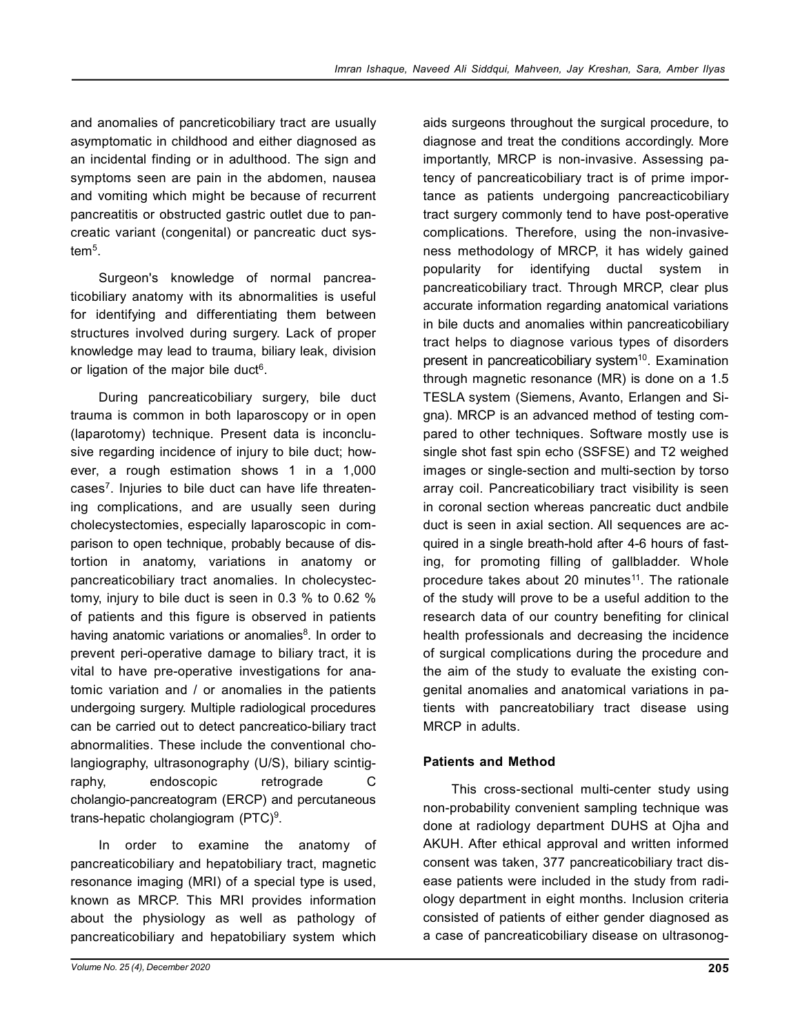and anomalies of pancreticobiliary tract are usually asymptomatic in childhood and either diagnosed as an incidental finding or in adulthood. The sign and symptoms seen are pain in the abdomen, nausea and vomiting which might be because of recurrent pancreatitis or obstructed gastric outlet due to pancreatic variant (congenital) or pancreatic duct system<sup>5</sup> .

Surgeon's knowledge of normal pancreaticobiliary anatomy with its abnormalities is useful for identifying and differentiating them between structures involved during surgery. Lack of proper knowledge may lead to trauma, biliary leak, division or ligation of the major bile duct<sup>6</sup>.

During pancreaticobiliary surgery, bile duct trauma is common in both laparoscopy or in open (laparotomy) technique. Present data is inconclusive regarding incidence of injury to bile duct; however, a rough estimation shows 1 in a 1,000 cases<sup>7</sup>. Injuries to bile duct can have life threatening complications, and are usually seen during cholecystectomies, especially laparoscopic in comparison to open technique, probably because of distortion in anatomy, variations in anatomy or pancreaticobiliary tract anomalies. In cholecystectomy, injury to bile duct is seen in 0.3 % to 0.62 % of patients and this figure is observed in patients having anatomic variations or anomalies<sup>8</sup>. In order to prevent peri-operative damage to biliary tract, it is vital to have pre-operative investigations for anatomic variation and / or anomalies in the patients undergoing surgery. Multiple radiological procedures can be carried out to detect pancreatico-biliary tract abnormalities. These include the conventional cholangiography, ultrasonography (U/S), biliary scintigraphy, endoscopic retrograde C cholangio-pancreatogram (ERCP) and percutaneous trans-hepatic cholangiogram (PTC)<sup>9</sup>.

In order to examine the anatomy of pancreaticobiliary and hepatobiliary tract, magnetic resonance imaging (MRI) of a special type is used, known as MRCP. This MRI provides information about the physiology as well as pathology of pancreaticobiliary and hepatobiliary system which

aids surgeons throughout the surgical procedure, to diagnose and treat the conditions accordingly. More importantly, MRCP is non-invasive. Assessing patency of pancreaticobiliary tract is of prime importance as patients undergoing pancreacticobiliary tract surgery commonly tend to have post-operative complications. Therefore, using the non-invasiveness methodology of MRCP, it has widely gained popularity for identifying ductal system in pancreaticobiliary tract. Through MRCP, clear plus accurate information regarding anatomical variations in bile ducts and anomalies within pancreaticobiliary tract helps to diagnose various types of disorders present in pancreaticobiliary system<sup>10</sup>. Examination through magnetic resonance (MR) is done on a 1.5 TESLA system (Siemens, Avanto, Erlangen and Signa). MRCP is an advanced method of testing compared to other techniques. Software mostly use is single shot fast spin echo (SSFSE) and T2 weighed images or single-section and multi-section by torso array coil. Pancreaticobiliary tract visibility is seen in coronal section whereas pancreatic duct andbile duct is seen in axial section. All sequences are acquired in a single breath-hold after 4-6 hours of fasting, for promoting filling of gallbladder. Whole procedure takes about 20 minutes<sup>11</sup>. The rationale of the study will prove to be a useful addition to the research data of our country benefiting for clinical health professionals and decreasing the incidence of surgical complications during the procedure and the aim of the study to evaluate the existing congenital anomalies and anatomical variations in patients with pancreatobiliary tract disease using MRCP in adults.

# **Patients and Method**

This cross-sectional multi-center study using non-probability convenient sampling technique was done at radiology department DUHS at Ojha and AKUH. After ethical approval and written informed consent was taken, 377 pancreaticobiliary tract disease patients were included in the study from radiology department in eight months. Inclusion criteria consisted of patients of either gender diagnosed as a case of pancreaticobiliary disease on ultrasonog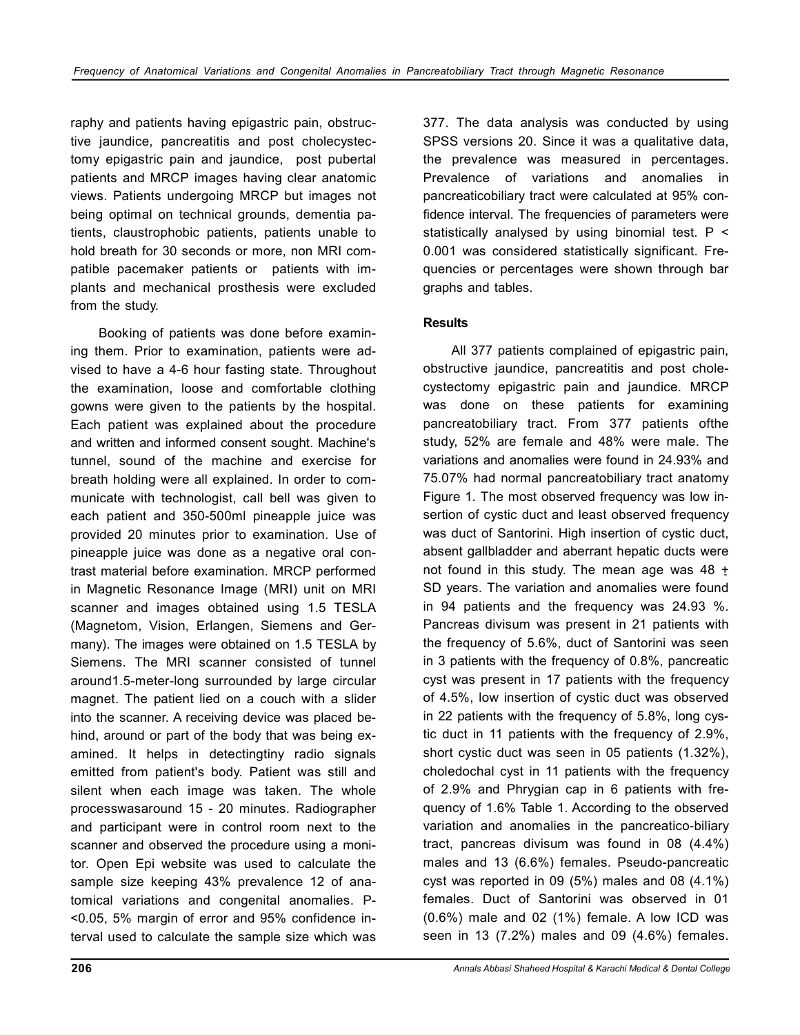raphy and patients having epigastric pain, obstructive jaundice, pancreatitis and post cholecystectomy epigastric pain and jaundice, post pubertal patients and MRCP images having clear anatomic views. Patients undergoing MRCP but images not being optimal on technical grounds, dementia patients, claustrophobic patients, patients unable to hold breath for 30 seconds or more, non MRI compatible pacemaker patients or patients with implants and mechanical prosthesis were excluded from the study.

Booking of patients was done before examining them. Prior to examination, patients were advised to have a 4-6 hour fasting state. Throughout the examination, loose and comfortable clothing gowns were given to the patients by the hospital. Each patient was explained about the procedure and written and informed consent sought. Machine's tunnel, sound of the machine and exercise for breath holding were all explained. In order to communicate with technologist, call bell was given to each patient and 350-500ml pineapple juice was provided 20 minutes prior to examination. Use of pineapple juice was done as a negative oral contrast material before examination. MRCP performed in Magnetic Resonance Image (MRI) unit on MRI scanner and images obtained using 1.5 TESLA (Magnetom, Vision, Erlangen, Siemens and Germany). The images were obtained on 1.5 TESLA by Siemens. The MRI scanner consisted of tunnel around1.5-meter-long surrounded by large circular magnet. The patient lied on a couch with a slider into the scanner. A receiving device was placed behind, around or part of the body that was being examined. It helps in detectingtiny radio signals emitted from patient's body. Patient was still and silent when each image was taken. The whole processwasaround 15 - 20 minutes. Radiographer and participant were in control room next to the scanner and observed the procedure using a monitor. Open Epi website was used to calculate the sample size keeping 43% prevalence 12 of anatomical variations and congenital anomalies. P- <0.05, 5% margin of error and 95% confidence interval used to calculate the sample size which was

377. The data analysis was conducted by using SPSS versions 20. Since it was a qualitative data, the prevalence was measured in percentages. Prevalence of variations and anomalies in pancreaticobiliary tract were calculated at 95% confidence interval. The frequencies of parameters were statistically analysed by using binomial test.  $P \leq$ 0.001 was considered statistically significant. Frequencies or percentages were shown through bar graphs and tables.

# **Results**

All 377 patients complained of epigastric pain, obstructive jaundice, pancreatitis and post cholecystectomy epigastric pain and jaundice. MRCP was done on these patients for examining pancreatobiliary tract. From 377 patients ofthe study, 52% are female and 48% were male. The variations and anomalies were found in 24.93% and 75.07% had normal pancreatobiliary tract anatomy Figure 1. The most observed frequency was low insertion of cystic duct and least observed frequency was duct of Santorini. High insertion of cystic duct, absent gallbladder and aberrant hepatic ducts were not found in this study. The mean age was 48  $\pm$ SD years. The variation and anomalies were found in 94 patients and the frequency was 24.93 %. Pancreas divisum was present in 21 patients with the frequency of 5.6%, duct of Santorini was seen in 3 patients with the frequency of 0.8%, pancreatic cyst was present in 17 patients with the frequency of 4.5%, low insertion of cystic duct was observed in 22 patients with the frequency of 5.8%, long cystic duct in 11 patients with the frequency of 2.9%, short cystic duct was seen in 05 patients (1.32%), choledochal cyst in 11 patients with the frequency of 2.9% and Phrygian cap in 6 patients with frequency of 1.6% Table 1. According to the observed variation and anomalies in the pancreatico-biliary tract, pancreas divisum was found in 08 (4.4%) males and 13 (6.6%) females. Pseudo-pancreatic cyst was reported in 09 (5%) males and 08 (4.1%) females. Duct of Santorini was observed in 01 (0.6%) male and 02 (1%) female. A low ICD was seen in 13 (7.2%) males and 09 (4.6%) females.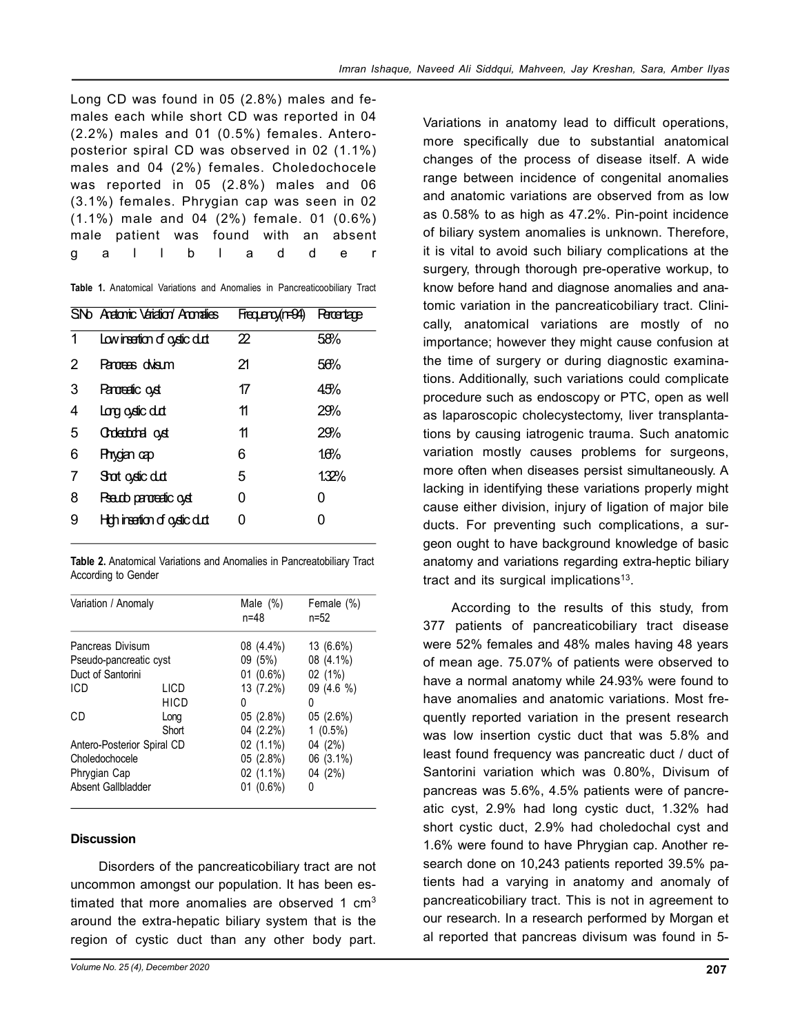Long CD was found in 05 (2.8%) males and females each while short CD was reported in 04 (2.2%) males and 01 (0.5%) females. Anteroposterior spiral CD was observed in 02 (1.1%) males and 04 (2%) females. Choledochocele was reported in 05 (2.8%) males and 06 (3.1%) females. Phrygian cap was seen in 02 (1.1%) male and 04 (2%) female. 01 (0.6%) male patient was found with an absent g a l l b l a d d e r

|  |  |  |  |  |  |  | Table 1. Anatomical Variations and Anomalies in Pancreaticoobiliary Tract |  |
|--|--|--|--|--|--|--|---------------------------------------------------------------------------|--|
|--|--|--|--|--|--|--|---------------------------------------------------------------------------|--|

| SN <sub>D</sub> Anatonic Variation Anomalies | Frequeno (n=94) | <b>Retentage</b> |
|----------------------------------------------|-----------------|------------------|
| Low insertion of oystic dut                  | 22              | 58%              |
| Panoreas dvisum                              | 21              | 56%              |
| Paroreatic oyst                              | 17              | 45%              |
| Long oydic dut                               | 11              | 29%              |
| Chdeabdhail cyst                             | 11              | 29%              |
| Phygian cap                                  | 6               | 10%              |
| Shot oystic dut                              | 5               | 1.32%            |
| Pseudo paroreatic oyst                       | ი               | O                |
| High insertion of oystic dut                 |                 | 0                |
|                                              |                 |                  |

**Table 2.** Anatomical Variations and Anomalies in Pancreatobiliary Tract According to Gender

| Variation / Anomaly        |             | Male $(\%)$<br>$n = 48$ | Female (%)<br>n=52 |
|----------------------------|-------------|-------------------------|--------------------|
| Pancreas Divisum           |             | 08 (4.4%)               | 13 (6.6%)          |
| Pseudo-pancreatic cyst     |             | 09(5%)                  | 08 (4.1%)          |
| Duct of Santorini          |             | $01(0.6\%)$             | 02 (1%)            |
| <b>ICD</b>                 | LICD        | 13 (7.2%)               | $09(4.6\%)$        |
|                            | <b>HICD</b> | 0                       | 0                  |
| СD                         | Long        | 05(2.8%)                | 05 (2.6%)          |
|                            | Short       | 04 (2.2%)               | $1(0.5\%)$         |
| Antero-Posterior Spiral CD |             | 02 (1.1%)               | 04 (2%)            |
| Choledochocele             |             | 05(2.8%)                | 06 (3.1%)          |
| Phrygian Cap               |             | 02 (1.1%)               | 04 (2%)            |
| Absent Gallbladder         |             | $01(0.6\%)$             | N                  |

## **Discussion**

Disorders of the pancreaticobiliary tract are not uncommon amongst our population. It has been estimated that more anomalies are observed 1  $\text{cm}^3$ around the extra-hepatic biliary system that is the region of cystic duct than any other body part.

Variations in anatomy lead to difficult operations, more specifically due to substantial anatomical changes of the process of disease itself. A wide range between incidence of congenital anomalies and anatomic variations are observed from as low as 0.58% to as high as 47.2%. Pin-point incidence of biliary system anomalies is unknown. Therefore, it is vital to avoid such biliary complications at the surgery, through thorough pre-operative workup, to know before hand and diagnose anomalies and anatomic variation in the pancreaticobiliary tract. Clinically, anatomical variations are mostly of no importance; however they might cause confusion at the time of surgery or during diagnostic examinations. Additionally, such variations could complicate procedure such as endoscopy or PTC, open as well as laparoscopic cholecystectomy, liver transplantations by causing iatrogenic trauma. Such anatomic variation mostly causes problems for surgeons, more often when diseases persist simultaneously. A lacking in identifying these variations properly might cause either division, injury of ligation of major bile ducts. For preventing such complications, a surgeon ought to have background knowledge of basic anatomy and variations regarding extra-heptic biliary tract and its surgical implications<sup>13</sup>.

According to the results of this study, from 377 patients of pancreaticobiliary tract disease were 52% females and 48% males having 48 years of mean age. 75.07% of patients were observed to have a normal anatomy while 24.93% were found to have anomalies and anatomic variations. Most frequently reported variation in the present research was low insertion cystic duct that was 5.8% and least found frequency was pancreatic duct / duct of Santorini variation which was 0.80%, Divisum of pancreas was 5.6%, 4.5% patients were of pancreatic cyst, 2.9% had long cystic duct, 1.32% had short cystic duct, 2.9% had choledochal cyst and 1.6% were found to have Phrygian cap. Another research done on 10,243 patients reported 39.5% patients had a varying in anatomy and anomaly of pancreaticobiliary tract. This is not in agreement to our research. In a research performed by Morgan et al reported that pancreas divisum was found in 5-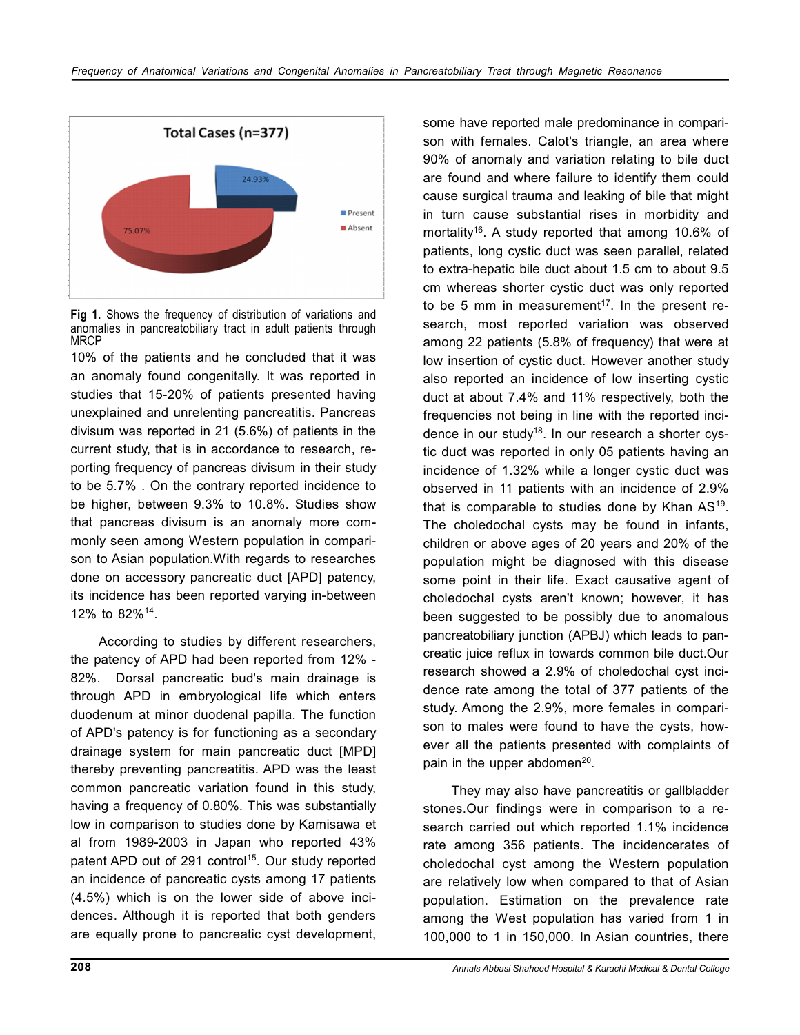

**Fig 1.** Shows the frequency of distribution of variations and anomalies in pancreatobiliary tract in adult patients through MRCP

10% of the patients and he concluded that it was an anomaly found congenitally. It was reported in studies that 15-20% of patients presented having unexplained and unrelenting pancreatitis. Pancreas divisum was reported in 21 (5.6%) of patients in the current study, that is in accordance to research, reporting frequency of pancreas divisum in their study to be 5.7% . On the contrary reported incidence to be higher, between 9.3% to 10.8%. Studies show that pancreas divisum is an anomaly more commonly seen among Western population in comparison to Asian population.With regards to researches done on accessory pancreatic duct [APD] patency, its incidence has been reported varying in-between 12% to 82%<sup>14</sup> .

According to studies by different researchers, the patency of APD had been reported from 12% - 82%. Dorsal pancreatic bud's main drainage is through APD in embryological life which enters duodenum at minor duodenal papilla. The function of APD's patency is for functioning as a secondary drainage system for main pancreatic duct [MPD] thereby preventing pancreatitis. APD was the least common pancreatic variation found in this study, having a frequency of 0.80%. This was substantially low in comparison to studies done by Kamisawa et al from 1989-2003 in Japan who reported 43% patent APD out of 291 control<sup>15</sup>. Our study reported an incidence of pancreatic cysts among 17 patients (4.5%) which is on the lower side of above incidences. Although it is reported that both genders are equally prone to pancreatic cyst development,

some have reported male predominance in comparison with females. Calot's triangle, an area where 90% of anomaly and variation relating to bile duct are found and where failure to identify them could cause surgical trauma and leaking of bile that might in turn cause substantial rises in morbidity and mortality<sup>16</sup>. A study reported that among 10.6% of patients, long cystic duct was seen parallel, related to extra-hepatic bile duct about 1.5 cm to about 9.5 cm whereas shorter cystic duct was only reported to be 5 mm in measurement<sup>17</sup>. In the present research, most reported variation was observed among 22 patients (5.8% of frequency) that were at low insertion of cystic duct. However another study also reported an incidence of low inserting cystic duct at about 7.4% and 11% respectively, both the frequencies not being in line with the reported incidence in our study<sup>18</sup>. In our research a shorter cystic duct was reported in only 05 patients having an incidence of 1.32% while a longer cystic duct was observed in 11 patients with an incidence of 2.9% that is comparable to studies done by Khan  $AS^{19}$ . The choledochal cysts may be found in infants, children or above ages of 20 years and 20% of the population might be diagnosed with this disease some point in their life. Exact causative agent of choledochal cysts aren't known; however, it has been suggested to be possibly due to anomalous pancreatobiliary junction (APBJ) which leads to pancreatic juice reflux in towards common bile duct.Our research showed a 2.9% of choledochal cyst incidence rate among the total of 377 patients of the study. Among the 2.9%, more females in comparison to males were found to have the cysts, however all the patients presented with complaints of pain in the upper abdomen<sup>20</sup>.

They may also have pancreatitis or gallbladder stones.Our findings were in comparison to a research carried out which reported 1.1% incidence rate among 356 patients. The incidencerates of choledochal cyst among the Western population are relatively low when compared to that of Asian population. Estimation on the prevalence rate among the West population has varied from 1 in 100,000 to 1 in 150,000. In Asian countries, there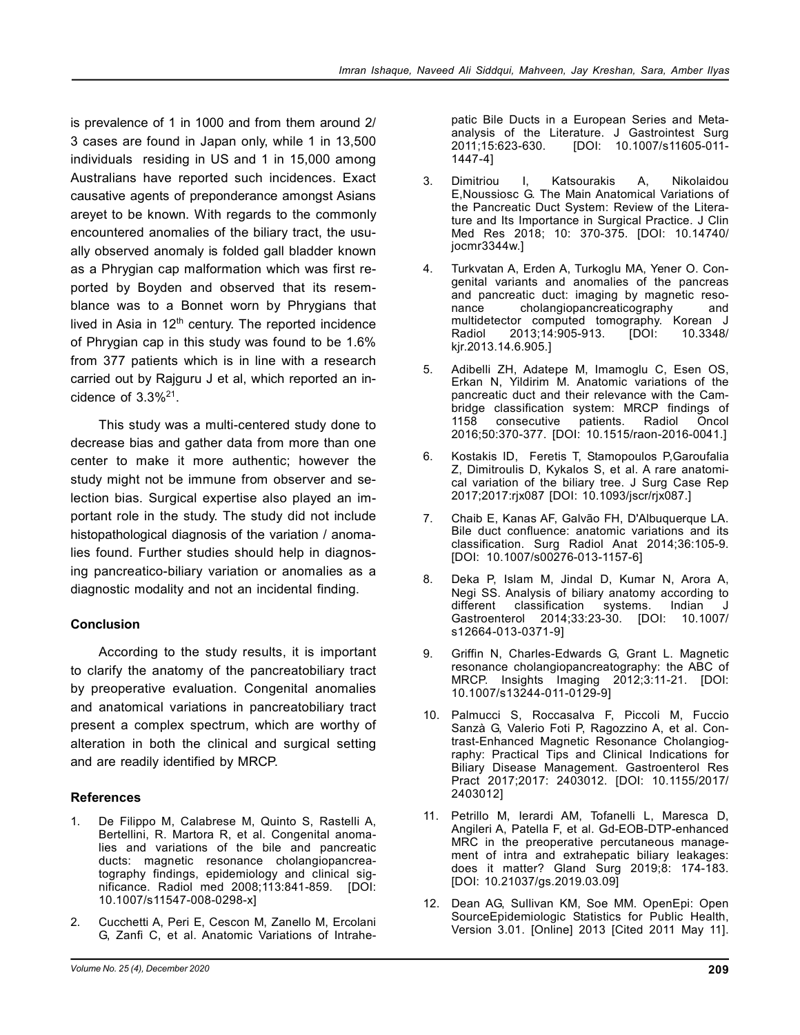is prevalence of 1 in 1000 and from them around 2/ 3 cases are found in Japan only, while 1 in 13,500 individuals residing in US and 1 in 15,000 among Australians have reported such incidences. Exact causative agents of preponderance amongst Asians areyet to be known. With regards to the commonly encountered anomalies of the biliary tract, the usually observed anomaly is folded gall bladder known as a Phrygian cap malformation which was first reported by Boyden and observed that its resemblance was to a Bonnet worn by Phrygians that lived in Asia in 12<sup>th</sup> century. The reported incidence of Phrygian cap in this study was found to be 1.6% from 377 patients which is in line with a research carried out by Rajguru J et al, which reported an incidence of  $3.3\%$ <sup>21</sup>.

This study was a multi-centered study done to decrease bias and gather data from more than one center to make it more authentic; however the study might not be immune from observer and selection bias. Surgical expertise also played an important role in the study. The study did not include histopathological diagnosis of the variation / anomalies found. Further studies should help in diagnosing pancreatico-biliary variation or anomalies as a diagnostic modality and not an incidental finding.

# **Conclusion**

According to the study results, it is important to clarify the anatomy of the pancreatobiliary tract by preoperative evaluation. Congenital anomalies and anatomical variations in pancreatobiliary tract present a complex spectrum, which are worthy of alteration in both the clinical and surgical setting and are readily identified by MRCP.

# **References**

- De Filippo M, Calabrese M, Quinto S, Rastelli A, Bertellini, R. Martora R, et al. Congenital anomalies and variations of the bile and pancreatic ducts: magnetic resonance cholangiopancreatography findings, epidemiology and clinical significance. Radiol med 2008;113:841-859. [DOI: 10.1007/s11547-008-0298-x]
- 2. Cucchetti A, Peri E, Cescon M, Zanello M, Ercolani G, Zanfi C, et al. Anatomic Variations of Intrahe-

patic Bile Ducts in a European Series and Metaanalysis of the Literature. J Gastrointest Surg<br>2011;15:623-630. [DOI: 10.1007/s11605-011-[DOI: 10.1007/s11605-011-1447-4]

- 3. Dimitriou I, Katsourakis A, Nikolaidou E,Noussiosc G. The Main Anatomical Variations of the Pancreatic Duct System: Review of the Literature and Its Importance in Surgical Practice. J Clin Med Res 2018; 10: 370-375. [DOI: 10.14740/ jocmr3344w.]
- 4. Turkvatan A, Erden A, Turkoglu MA, Yener O. Congenital variants and anomalies of the pancreas and pancreatic duct: imaging by magnetic reso-<br>nance cholangiopancreaticography and cholangiopancreaticography multidetector computed tomography. Korean J Radiol 2013;14:905-913. [DOI: 10.3348/ kjr.2013.14.6.905.]
- 5. Adibelli ZH, Adatepe M, Imamoglu C, Esen OS, Erkan N, Yildirim M. Anatomic variations of the pancreatic duct and their relevance with the Cambridge classification system: MRCP findings of<br>1158 consecutive patients. Radiol Oncol 1158 consecutive patients. Radiol Oncol 2016;50:370-377. [DOI: 10.1515/raon-2016-0041.]
- 6. Kostakis ID, Feretis T, Stamopoulos P,Garoufalia Z, Dimitroulis D, Kykalos S, et al. A rare anatomical variation of the biliary tree. J Surg Case Rep 2017;2017:rjx087 [DOI: 10.1093/jscr/rjx087.]
- 7. Chaib E, Kanas AF, Galvão FH, D'Albuquerque LA. Bile duct confluence: anatomic variations and its classification. Surg Radiol Anat 2014;36:105-9. [DOI: 10.1007/s00276-013-1157-6]
- 8. Deka P, Islam M, Jindal D, Kumar N, Arora A, Negi SS. Analysis of biliary anatomy according to different classification systems. Indian J Gastroenterol 2014;33:23-30. [DOI: 10.1007/ s12664-013-0371-9]
- 9. Griffin N, Charles-Edwards G, Grant L. Magnetic resonance cholangiopancreatography: the ABC of MRCP. Insights Imaging 2012;3:11-21. [DOI: 10.1007/s13244-011-0129-9]
- 10. Palmucci S, Roccasalva F, Piccoli M, Fuccio Sanzà G, Valerio Foti P, Ragozzino A, et al. Contrast-Enhanced Magnetic Resonance Cholangiography: Practical Tips and Clinical Indications for Biliary Disease Management. Gastroenterol Res Pract 2017;2017: 2403012. [DOI: 10.1155/2017/ 2403012]
- 11. Petrillo M, Ierardi AM, Tofanelli L, Maresca D, Angileri A, Patella F, et al. Gd-EOB-DTP-enhanced MRC in the preoperative percutaneous management of intra and extrahepatic biliary leakages: does it matter? Gland Surg 2019;8: 174-183. [DOI: 10.21037/gs.2019.03.09]
- 12. Dean AG, Sullivan KM, Soe MM. OpenEpi: Open SourceEpidemiologic Statistics for Public Health, Version 3.01. [Online] 2013 [Cited 2011 May 11].